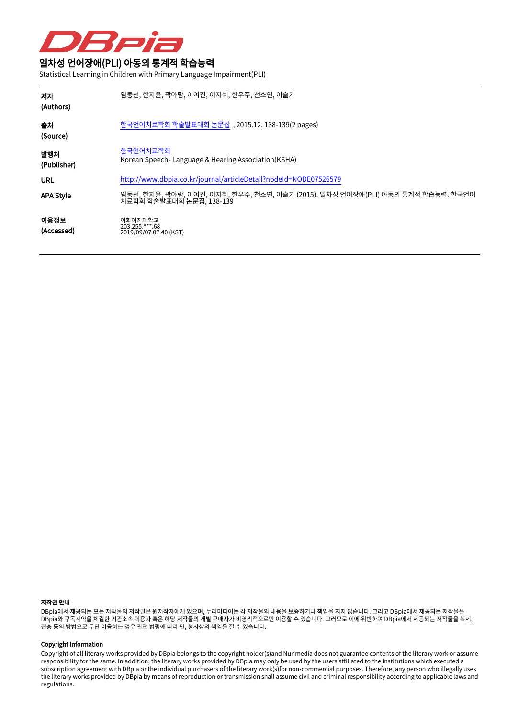

## 일차성 언어장애(PLI) 아동의 통계적 학습능력

Statistical Learning in Children with Primary Language Impairment(PLI)

| 저자<br>(Authors)    | 임동선, 한지윤, 곽아람, 이여진, 이지혜, 한우주, 천소연, 이슬기                                                                      |
|--------------------|-------------------------------------------------------------------------------------------------------------|
| 출처<br>(Source)     | 한국언어치료학회 학술발표대회 논문집 , 2015.12, 138-139(2 pages)                                                             |
| 발행처<br>(Publisher) | 한국언어치료학회<br>Korean Speech- Language & Hearing Association(KSHA)                                             |
| <b>URL</b>         | http://www.dbpia.co.kr/journal/articleDetail?nodeId=NODE07526579                                            |
| APA Style          | 임동선, 한지윤, 곽아람, 이여진, 이지혜, 한우주, 천소연, 이슬기 (2015). 일차성 언어장애(PLI) 아동의 통계적 학습능력. 한국언어<br>치료학회 학술발표대회 논문집, 138-139 |
| 이용정보<br>(Accessed) | 이화여자대학교<br>203.255.***.68<br>2019/09/07 07:40 (KST)                                                         |

#### 저작권 안내

DBpia에서 제공되는 모든 저작물의 저작권은 원저작자에게 있으며, 누리미디어는 각 저작물의 내용을 보증하거나 책임을 지지 않습니다. 그리고 DBpia에서 제공되는 저작물은 DBpia와 구독계약을 체결한 기관소속 이용자 혹은 해당 저작물의 개별 구매자가 비영리적으로만 이용할 수 있습니다. 그러므로 이에 위반하여 DBpia에서 제공되는 저작물을 복제, 전송 등의 방법으로 무단 이용하는 경우 관련 법령에 따라 민, 형사상의 책임을 질 수 있습니다.

#### Copyright Information

Copyright of all literary works provided by DBpia belongs to the copyright holder(s)and Nurimedia does not guarantee contents of the literary work or assume responsibility for the same. In addition, the literary works provided by DBpia may only be used by the users affiliated to the institutions which executed a subscription agreement with DBpia or the individual purchasers of the literary work(s)for non-commercial purposes. Therefore, any person who illegally uses the literary works provided by DBpia by means of reproduction or transmission shall assume civil and criminal responsibility according to applicable laws and regulations.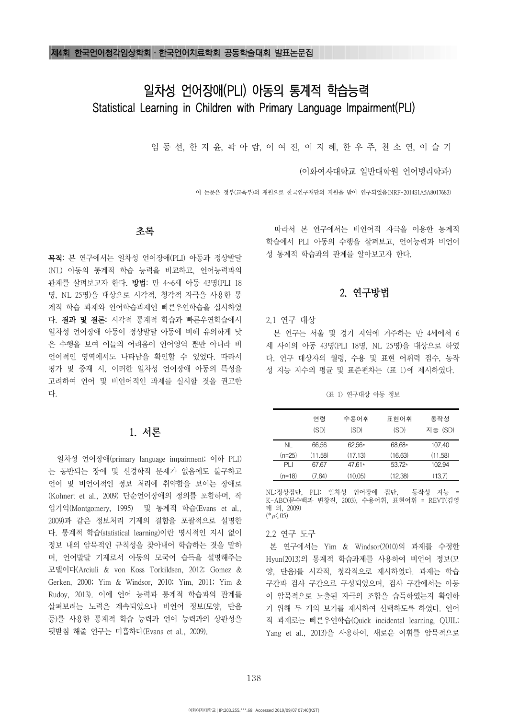# 일차성 언어장애(PLI) 아동의 통계적 학습능력 Statistical Learning in Children with Primary Language Impairment(PLI)

임 동 선, 한 지 윤, 곽 아 람, 이 여 진, 이 지 혜, 한 우 주, 천 소 연, 이 슬 기

(이화여자대학교 일반대학원 언어병리학과)

이 논문은 정부(교육부)의 재원으로 한국연구재단의 지원을 받아 연구되었음(NRF-2014S1A5A8017683)

따라서 본 연구에서는 비언어적 자극을 이용한 통계적 학습에서 PLI 아동의 수행을 살펴보고, 언어능력과 비언어

성 통계적 학습과의 관계를 알아보고자 한다.

### 2. 연구방법

2.1 연구 대상

 본 연구는 서울 및 경기 지역에 거주하는 만 4세에서 6 세 사이의 아동 43명(PLI 18명, NL 25명)을 대상으로 하였 다. 연구 대상자의 월령, 수용 및 표현 어휘력 점수, 동작 성 지능 지수의 평균 및 표준편차는 <표 1>에 제시하였다.

<표 1> 연구대상 아동 정보

|          | 연령      | 수용어휘     | 표현어휘     | 동작성     |
|----------|---------|----------|----------|---------|
|          | (SD)    | (SD)     | (SD)     | 지능 (SD) |
| NL.      | 66.56   | $62.56*$ | 68.68*   | 107.40  |
| (n=25)   | (11.58) | (17.13)  | (16.63)  | (11.58) |
| РH       | 67.67   | $47.61*$ | $53.72*$ | 102.94  |
| $(n=18)$ | (7.64)  | (10.05)  | (12.38)  | (13.7)  |

NL:정상집단, PLI: 일차성 언어장애 집단, 동작성 지능 = K-ABC(문수백과 변창진, 2003), 수용어휘, 표현어휘 = REVT(김영 태 외, 2009)  $(*_{D}\langle .05)$ 

#### 2.2 연구 도구

 본 연구에서는 Yim & Windsor(2010)의 과제를 수정한 Hyun(2013)의 통계적 학습과제를 사용하여 비언어 정보(모 양, 단음)를 시각적, 청각적으로 제시하였다. 과제는 학습 구간과 검사 구간으로 구성되었으며, 검사 구간에서는 아동 이 암묵적으로 노출된 자극의 조합을 습득하였는지 확인하 기 위해 두 개의 보기를 제시하여 선택하도록 하였다. 언어 적 과제로는 빠른우연학습(Quick incidental learning, QUIL; Yang et al., 2013)을 사용하여, 새로운 어휘를 암묵적으로

#### 초록

목적: 본 연구에서는 일차성 언어장애(PLI) 아동과 정상발달 (NL) 아동의 통계적 학습 능력을 비교하고, 언어능력과의 관계를 살펴보고자 한다. 방법: 만 4~6세 아동 43명(PLI 18 명, NL 25명)을 대상으로 시각적, 청각적 자극을 사용한 통 계적 학습 과제와 언어학습과제인 빠른우연학습을 실시하였 다. 결과 및 결론: 시각적 통계적 학습과 빠른우연학습에서 일차성 언어장애 아동이 정상발달 아동에 비해 유의하게 낮 은 수행을 보여 이들의 어려움이 언어영역 뿐만 아니라 비 언어적인 영역에서도 나타남을 확인할 수 있었다. 따라서 평가 및 중재 시, 이러한 일차성 언어장애 아동의 특성을 고려하여 언어 및 비언어적인 과제를 실시할 것을 권고한 다.

## 1. 서론

일차성 언어장애(primary language impairment; 이하 PLI) 는 동반되는 장애 및 신경학적 문제가 없음에도 불구하고 언어 및 비언어적인 정보 처리에 취약함을 보이는 장애로 (Kohnert et al., 2009) 단순언어장애의 정의를 포함하며, 작 업기억(Montgomery, 1995) 및 통계적 학습(Evans et al., 2009)과 같은 정보처리 기제의 결함을 포괄적으로 설명한 다. 통계적 학습(statistical learning)이란 명시적인 지시 없이 정보 내의 암묵적인 규칙성을 찾아내어 학습하는 것을 말하 며, 언어발달 기제로서 아동의 모국어 습득을 설명해주는 모델이다(Arciuli & von Koss Torkildsen, 2012; Gomez & Gerken, 2000; Yim & Windsor, 2010; Yim, 2011; Yim & Rudoy, 2013). 이에 언어 능력과 통계적 학습과의 관계를 살펴보려는 노력은 계속되었으나 비언어 정보(모양, 단음 등)를 사용한 통계적 학습 능력과 언어 능력과의 상관성을 뒷받침 해줄 연구는 미흡하다(Evans et al., 2009).